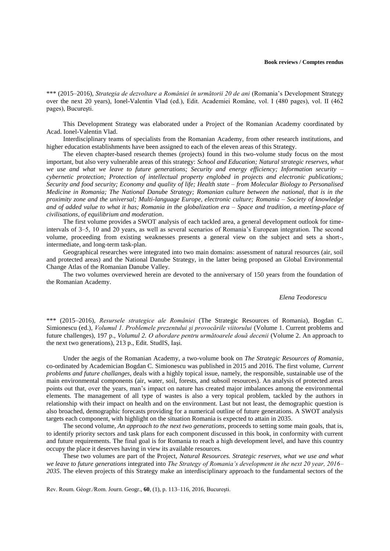\*\*\* (2015–2016), *Strategia de dezvoltare a României în următorii 20 de ani* (Romania's Development Strategy over the next 20 years), Ionel-Valentin Vlad (ed.), Edit. Academiei Române, vol. I (480 pages), vol. II (462 pages), Bucureşti.

This Development Strategy was elaborated under a Project of the Romanian Academy coordinated by Acad. Ionel-Valentin Vlad.

Interdisciplinary teams of specialists from the Romanian Academy, from other research institutions, and higher education establishments have been assigned to each of the eleven areas of this Strategy.

The eleven chapter-based research themes (projects) found in this two-volume study focus on the most important, but also very vulnerable areas of this strategy: *School and Education; Natural strategic reserves, what we use and what we leave to future generations; Security and energy efficiency; Information security – cybernetic protection; Protection of intellectual property englobed in projects and electronic publications; Security and food security; Economy and quality of life; Health state – from Molecular Biology to Personalised Medicine in Romania; The National Danube Strategy; Romanian culture between the national, that is in the proximity zone and the universal; Multi-language Europe, electronic culture; Romania – Society of knowledge and of added value to what it has; Romania in the globalization era – Space and tradition, a meeting-place of civilisations, of equilibrium and moderation*.

The first volume provides a SWOT analysis of each tackled area, a general development outlook for timeintervals of 3–5, 10 and 20 years, as well as several scenarios of Romania's European integration. The second volume, proceeding from existing weaknesses presents a general view on the subject and sets a short-, intermediate, and long-term task-plan.

Geographical researches were integrated into two main domains: assessment of natural resources (air, soil and protected areas) and the National Danube Strategy, in the latter being proposed an Global Environmental Change Atlas of the Romanian Danube Valley.

The two volumes overviewed herein are devoted to the anniversary of 150 years from the foundation of the Romanian Academy.

## *Elena Teodorescu*

\*\*\* (2015–2016), *Resursele strategice ale României* (The Strategic Resources of Romania), Bogdan C. Simionescu (ed.), *Volumul 1. Problemele prezentului şi provocările viitorului* (Volume 1. Current problems and future challenges), 197 p., *Volumul 2. O abordare pentru următoarele două decenii* (Volume 2. An approach to the next two generations), 213 p., Edit. StudIS, Iaşi*.*

Under the aegis of the Romanian Academy, a two-volume book on *The Strategic Resources of Romania*, co-ordinated by Academician Bogdan C. Simionescu was published in 2015 and 2016. The first volume, *Current problems and future challanges*, deals with a highly topical issue, namely, the responsible, sustainable use of the main environmental components (air, water, soil, forests, and subsoil resources). An analysis of protected areas points out that, over the years, man's impact on nature has created major imbalances among the environmental elements. The management of all type of wastes is also a very topical problem, tackled by the authors in relationship with their impact on health and on the environment. Last but not least, the demographic question is also broached, demographic forecasts providing for a numerical outline of future generations. A SWOT analysis targets each component, with highlight on the situation Romania is expected to attain in 2035.

The second volume, *An approach to the next two generations*, proceeds to setting some main goals, that is, to identify priority sectors and task plans for each component discussed in this book, in conformity with current and future requirements. The final goal is for Romania to reach a high development level, and have this country occupy the place it deserves having in view its available resources.

These two volumes are part of the Project, *Natural Resources. Strategic reserves, what we use and what we leave to future generations* integrated into *The Strategy of Romania's development in the next 20 year, 2016– 2035*. The eleven projects of this Strategy make an interdisciplinary approach to the fundamental sectors of the

Rev. Roum. Géogr./Rom. Journ. Geogr., **60**, (1), p. 113–116, 2016, Bucureşti.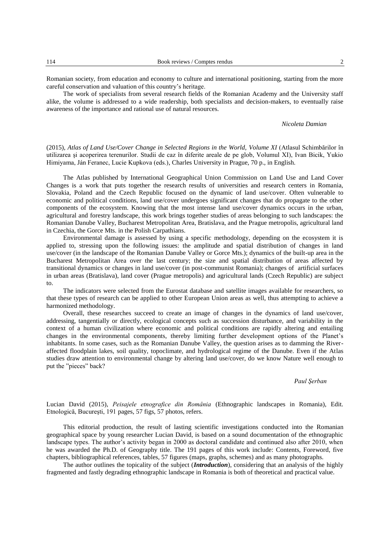Romanian society, from education and economy to culture and international positioning, starting from the more careful conservation and valuation of this country's heritage.

The work of specialists from several research fields of the Romanian Academy and the University staff alike, the volume is addressed to a wide readership, both specialists and decision-makers, to eventually raise awareness of the importance and rational use of natural resources.

## *Nicoleta Damian*

(2015), *Atlas of Land Use/Cover Change in Selected Regions in the World, Volume XI* (Atlasul Schimbărilor în utilizarea şi acoperirea terenurilor. Studii de caz în diferite areale de pe glob, Volumul XI), Ivan Bicik, Yukio Himiyama, Ján Feranec, Lucie Kupkova (eds.), Charles University in Prague, 70 p., in English.

The Atlas published by International Geographical Union Commission on Land Use and Land Cover Changes is a work that puts together the research results of universities and research centers in Romania, Slovakia, Poland and the Czech Republic focused on the dynamic of land use/cover. Often vulnerable to economic and political conditions, land use/cover undergoes significant changes that do propagate to the other components of the ecosystem. Knowing that the most intense land use/cover dynamics occurs in the urban, agricultural and forestry landscape, this work brings together studies of areas belonging to such landscapes: the Romanian Danube Valley, Bucharest Metropolitan Area, Bratislava, and the Prague metropolis, agricultural land in Czechia, the Gorce Mts. in the Polish Carpathians.

Environmental damage is assessed by using a specific methodology, depending on the ecosystem it is applied to, stressing upon the following issues: the amplitude and spatial distribution of changes in land use/cover (in the landscape of the Romanian Danube Valley or Gorce Mts.); dynamics of the built-up area in the Bucharest Metropolitan Area over the last century; the size and spatial distribution of areas affected by transitional dynamics or changes in land use/cover (in post-communist Romania); changes of artificial surfaces in urban areas (Bratislava), land cover (Prague metropolis) and agricultural lands (Czech Republic) are subject to.

The indicators were selected from the Eurostat database and satellite images available for researchers, so that these types of research can be applied to other European Union areas as well, thus attempting to achieve a harmonized methodology.

Overall, these researches succeed to create an image of changes in the dynamics of land use/cover, addressing, tangentially or directly, ecological concepts such as succession disturbance, and variability in the context of a human civilization where economic and political conditions are rapidly altering and entailing changes in the environmental components, thereby limiting further development options of the Planet's inhabitants. In some cases, such as the Romanian Danube Valley, the question arises as to damming the Riveraffected floodplain lakes, soil quality, topoclimate, and hydrological regime of the Danube. Even if the Atlas studies draw attention to environmental change by altering land use/cover, do we know Nature well enough to put the "pieces" back?

## *Paul Şerban*

Lucian David (2015), *Peisajele etnografice din România* (Ethnographic landscapes in Romania), Edit. Etnologică, Bucureşti, 191 pages, 57 figs, 57 photos, refers.

This editorial production, the result of lasting scientific investigations conducted into the Romanian geographical space by young researcher Lucian David, is based on a sound documentation of the ethnographic landscape types. The author's activity began in 2000 as doctoral candidate and continued also after 2010, when he was awarded the Ph.D. of Geography title. The 191 pages of this work include: Contents, Foreword, five chapters, bibliographical references, tables, 57 figures (maps, graphs, schemes) and as many photographs.

The author outlines the topicality of the subject (*Introduction*), considering that an analysis of the highly fragmented and fastly degrading ethnographic landscape in Romania is both of theoretical and practical value.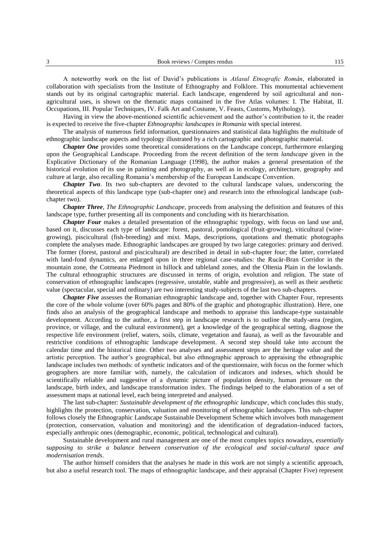A noteworthy work on the list of David's publications is *Atlasul Etnografic Român*, elaborated in collaboration with specialists from the Institute of Ethnography and Folklore. This monumental achievement stands out by its original cartographic material. Each landscape, engendered by soil agricultural and nonagricultural uses, is shown on the thematic maps contained in the five Atlas volumes: I. The Habitat, II. Occupations, III. Popular Techniques, IV. Falk Art and Costume, V. Feasts, Customs, Mythology).

Having in view the above-mentioned scientific achievement and the author's contribution to it, the reader is expected to receive the five-chapter *Ethnographic landscapes in Romania* with special interest.

The analysis of numerous field information, questionnaires and statistical data highlights the multitude of ethnographic landscape aspects and typology illustrated by a rich cartographic and photographic material.

*Chapter One* provides some theoretical considerations on the Landscape concept, furthermore enlarging upon the Geographical Landscape. Proceeding from the recent definition of the term *landscape* given in the Explicative Dictionary of the Romanian Language (1998), the author makes a general presentation of the historical evolution of its use in painting and photography, as well as in ecology, architecture, geography and culture at large, also recalling Romania's membership of the European Landscape Convention.

*Chapter Two*. Its two sub-chapters are devoted to the cultural landscape values, underscoring the theoretical aspects of this landscape type (sub-chapter one) and research into the ethnological landscape (subchapter two).

*Chapter Three*, *The Ethnographic Landscape,* proceeds from analysing the definition and features of this landscape type, further presenting all its components and concluding with its hierarchisation.

*Chapter Four* makes a detailed presentation of the ethnographic typology, with focus on land use and, based on it, discusses each type of landscape: forest, pastoral, pomological (fruit-growing), viticultural (winegrowing), piscicultural (fish-breeding) and mixt. Maps, descriptions, quotations and thematic photographs complete the analyses made. Ethnographic landscapes are grouped by two large categories: primary and derived. The former (forest, pastoral and piscicultural) are described in detail in sub-chapter four; the latter, correlated with land-fond dynamics, are enlarged upon in three regional case-studies: the Rucăr-Bran Corridor in the mountain zone, the Cotmeana Piedmont in hillock and tableland zones, and the Oltenia Plain in the lowlands. The cultural ethnographic structures are discussed in terms of origin, evolution and religion. The state of conservation of ethnographic landscapes (regressive, unstable, stable and progressive), as well as their aesthetic value (spectacular, special and ordinary) are two interesting study-subjects of the last two sub-chapters.

*Chapter Five* assesses the Romanian ethnographic landscape and, together with Chapter Four, represents the core of the whole volume (over 60% pages and 80% of the graphic and photographic illustration). Here, one finds also an analysis of the geographical landscape and methods to appraise this landscape-type sustainable development. According to the author, a first step in landscape research is to outline the study-area (region, province, or village, and the cultural environment), get a knowledge of the geographical setting, diagnose the respective life environment (relief, waters, soils, climate, vegetation and fauna), as well as the favourable and restrictive conditions of ethnographic landscape development. A second step should take into account the calendar time and the historical time. Other two analyses and assessment steps are the heritage value and the artistic perception. The author's geographical, but also ethnographic approach to appraising the ethnographic landscape includes two methods: of synthetic indicators and of the questionnaire, with focus on the former which geographers are more familiar with, namely, the calculation of indicators and indexes, which should be scientifically reliable and suggestive of a dynamic picture of population density, human pressure on the landscape, birth index, and landscape transformation index. The findings helped to the elaboration of a set of assessment maps at national level, each being interpreted and analysed.

The last sub-chapter: *Sustainable development of the ethnographic landscape*, which concludes this study, highlights the protection, conservation, valuation and monitoring of ethnographic landscapes. This sub-chapter follows closely the Ethnographic Landscape Sustainable Development Scheme which involves both management (protection, conservation, valuation and monitoring) and the identification of degradation-induced factors, especially anthropic ones (demographic, economic, political, technological and cultural).

Sustainable development and rural management are one of the most complex topics nowadays, *essentially supposing to strike a balance between conservation of the ecological and social-cultural space and modernisation trends*.

The author himself considers that the analyses he made in this work are not simply a scientific approach, but also a useful research tool. The maps of ethnographic landscape, and their appraisal (Chapter Five) represent